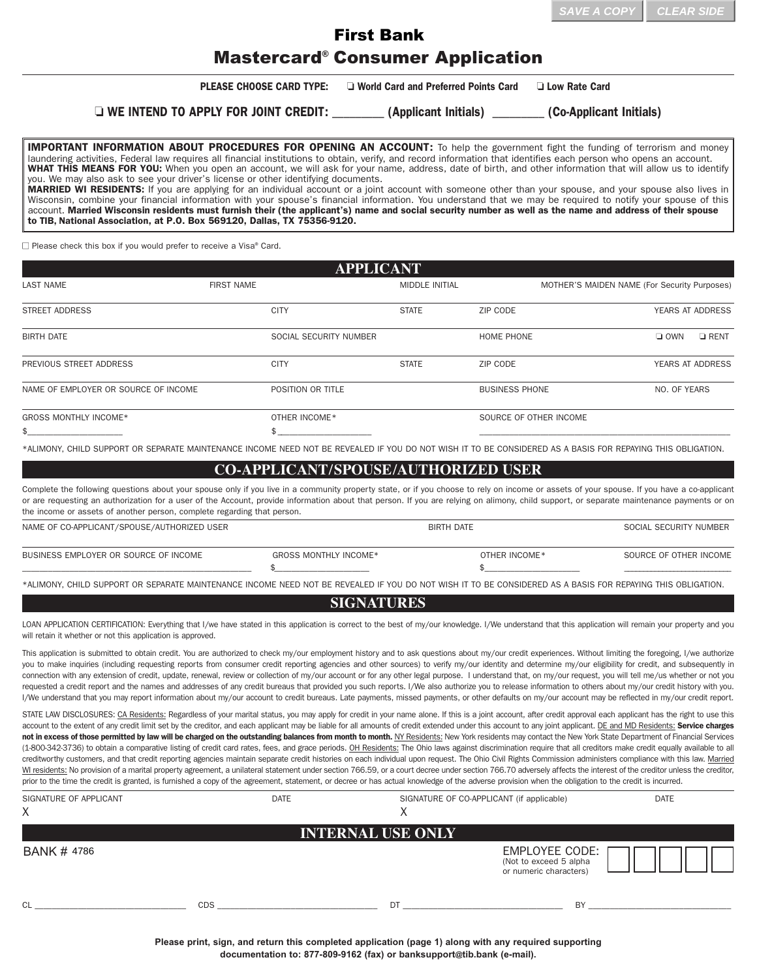## Mastercard® Consumer Application First Bank

**PLEASE CHOOSE CARD TYPE:**  $\Box$  World Card and Preferred Points Card  $\Box$  Low Rate Card

o **WE INTEND TO APPLY FOR JOINT CREDIT:** \_\_\_\_\_\_\_\_\_ **(Applicant Initials)** \_\_\_\_\_\_\_\_\_ **(CoApplicant Initials)**

**IMPORTANT INFORMATION ABOUT PROCEDURES FOR OPENING AN ACCOUNT:** To help the government fight the funding of terrorism and money laundering activities, Federal law requires all financial institutions to obtain, verify, and record information that identifies each person who opens an account. **WHAT THIS MEANS FOR YOU:** When you open an account, we will ask for your name, address, date of birth, and other information that will allow us to identify you. We may also ask to see your driver's license or other identifying documents. **MARRIED WI RESIDENTS:** If you are applying for an individual account or a joint account with someone other than your spouse, and your spouse also lives in Wisconsin, combine your financial information with your spouse's financial information. You understand that we may be required to notify your spouse of this account. **Married Wisconsin residents must furnish their (the applicant's) name and social security number as well as the name and address of their spouse**

 $\Box$  Please check this box if you would prefer to receive a Visa® Card.

**to** TIB, National Association**, at P.O. Box 569120, Dallas, TX 753569120.**

| <b>APPLICANT</b>                     |                        |                       |                        |                                              |
|--------------------------------------|------------------------|-----------------------|------------------------|----------------------------------------------|
| <b>LAST NAME</b>                     | <b>FIRST NAME</b>      | <b>MIDDLE INITIAL</b> |                        | MOTHER'S MAIDEN NAME (For Security Purposes) |
| <b>STREET ADDRESS</b>                | <b>CITY</b>            | <b>STATE</b>          | ZIP CODE               | YEARS AT ADDRESS                             |
| <b>BIRTH DATE</b>                    | SOCIAL SECURITY NUMBER |                       | <b>HOME PHONE</b>      | $\Box$ RENT<br>$\Box$ OWN                    |
| PREVIOUS STREET ADDRESS              | <b>CITY</b>            | <b>STATE</b>          | ZIP CODE               | YEARS AT ADDRESS                             |
| NAME OF EMPLOYER OR SOURCE OF INCOME | POSITION OR TITLE      |                       | <b>BUSINESS PHONE</b>  | NO. OF YEARS                                 |
| <b>GROSS MONTHLY INCOME*</b>         | OTHER INCOME*          |                       | SOURCE OF OTHER INCOME |                                              |
| \$.                                  |                        |                       |                        |                                              |

\*ALIMONY, CHILD SUPPORT OR SEPARATE MAINTENANCE INCOME NEED NOT BE REVEALED IF YOU DO NOT WISH IT TO BE CONSIDERED AS A BASIS FOR REPAYING THIS OBLIGATION.

## **COAPPLICANT/SPOUSE/AUTHORIZED USER**

Complete the following questions about your spouse only if you live in a community property state, or if you choose to rely on income or assets of your spouse. If you have a co-applicant or are requesting an authorization for a user of the Account, provide information about that person. If you are relying on alimony, child support, or separate maintenance payments or on the income or assets of another person, complete regarding that person.

| NAME OF CO-APPLICANT/SPOUSE/AUTHORIZED USER |                       | <b>BIRTH DATE</b> | SOCIAL SECURITY NUMBER |
|---------------------------------------------|-----------------------|-------------------|------------------------|
| BUSINESS EMPLOYER OR SOURCE OF INCOME       | GROSS MONTHLY INCOME* | OTHER INCOME*     | SOURCE OF OTHER INCOME |
|                                             |                       |                   |                        |

\*ALIMONY, CHILD SUPPORT OR SEPARATE MAINTENANCE INCOME NEED NOT BE REVEALED IF YOU DO NOT WISH IT TO BE CONSIDERED AS A BASIS FOR REPAYING THIS OBLIGATION.

## **SIGNATURES**

LOAN APPLICATION CERTIFICATION: Everything that I/we have stated in this application is correct to the best of my/our knowledge. I/We understand that this application will remain your property and you will retain it whether or not this application is approved.

This application is submitted to obtain credit. You are authorized to check my/our employment history and to ask questions about my/our credit experiences. Without limiting the foregoing, I/we authorize you to make inquiries (including requesting reports from consumer credit reporting agencies and other sources) to verify my/our identity and determine my/our eligibility for credit, and subsequently in connection with any extension of credit, update, renewal, review or collection of my/our account or for any other legal purpose. I understand that, on my/our request, you will tell me/us whether or not you requested a credit report and the names and addresses of any credit bureaus that provided you such reports. I/We also authorize you to release information to others about my/our credit history with you. I/We understand that you may report information about my/our account to credit bureaus. Late payments, missed payments, or other defaults on my/our account may be reflected in my/our credit report.

STATE LAW DISCLOSURES: CA Residents: Regardless of your marital status, you may apply for credit in your name alone. If this is a joint account, after credit approval each applicant has the right to use this account to the extent of any credit limit set by the creditor, and each applicant may be liable for all amounts of credit extended under this account to any joint applicant. DE and MD Residents: **Service charges** not in excess of those permitted by law will be charged on the outstanding balances from month to month. NY Residents: New York residents may contact the New York State Department of Financial Services (18003423736) to obtain a comparative listing of credit card rates, fees, and grace periods. OH Residents: The Ohio laws against discrimination require that all creditors make credit equally available to all creditworthy customers, and that credit reporting agencies maintain separate credit histories on each individual upon request. The Ohio Civil Rights Commission administers compliance with this law. Married WI residents: No provision of a marital property agreement, a unilateral statement under section 766.59, or a court decree under section 766.70 adversely affects the interest of the creditor unless the creditor, prior to the time the credit is granted, is furnished a copy of the agreement, statement, or decree or has actual knowledge of the adverse provision when the obligation to the credit is incurred.

| SIGNATURE OF APPLICANT<br>X | <b>DATE</b> | SIGNATURE OF CO-APPLICANT (if applicable)<br>$\lambda$ |                                                                     | <b>DATE</b> |
|-----------------------------|-------------|--------------------------------------------------------|---------------------------------------------------------------------|-------------|
|                             |             | <b>INTERNAL USE ONLY</b>                               |                                                                     |             |
| <b>BANK #4786</b>           |             |                                                        | EMPLOYEE CODE:<br>(Not to exceed 5 alpha)<br>or numeric characters) |             |
| CL                          | <b>CDS</b>  | DT                                                     | BY                                                                  |             |

**Please print, sign, and return this completed application (page 1) along with any required supporting documentation to: 8778099162 (fax) or [banksupport@](mailto:banksupport@tib.bank)tib.bank (email).**